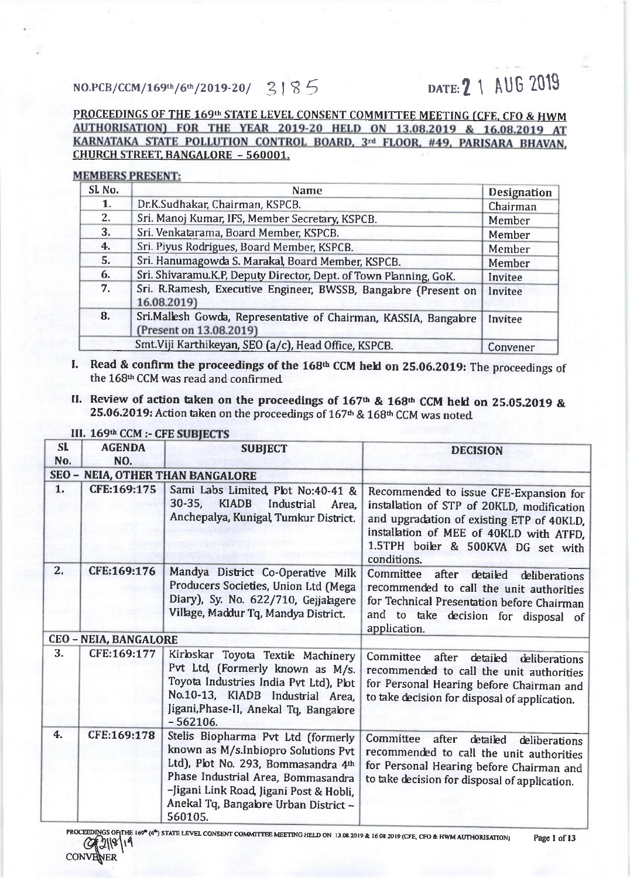# $NO.PCB/CCM/169th/6th/2019-20/$   $3185$  DATE: 2 1 AUG 2019

## PROCEEDINGS OF THE 169<sup>th</sup> STATE LEVEL CONSENT COMMITTEE MEETING (CFE, CFO & HWM AUTHORISATION) FOR THE YEAR 2019-20 HELD ON 13.08.2019 & 16.08.2019 AT KARNATAKA STATE POLLUTION CONTROL BOARD, 3rd FLOOR, #49, PARISARA BHAVAN. CHURCH STREET. BANGALORE - 560001.

### **MEMBERS PRESENT:**

| Sl No. | Name                                                                                        | Designation |
|--------|---------------------------------------------------------------------------------------------|-------------|
| 1.     | Dr.K.Sudhakar, Chairman, KSPCB.                                                             | Chairman    |
| 2.     | Sri. Manoj Kumar, IFS, Member Secretary, KSPCB.                                             | Member      |
| 3.     | Sri. Venkatarama, Board Member, KSPCB.                                                      | Member      |
| 4.     | Sri. Piyus Rodrigues, Board Member, KSPCB.                                                  | Member      |
| 5.     | Sri. Hanumagowda S. Marakal, Board Member, KSPCB.                                           | Member      |
| 6.     | Sri. Shivaramu.K.P, Deputy Director, Dept. of Town Planning, GoK.                           | Invitee     |
| 7.     | Sri. R.Ramesh, Executive Engineer, BWSSB, Bangalore (Present on<br>16.08.2019)              | Invitee     |
| 8.     | Sri.Mallesh Gowda, Representative of Chairman, KASSIA, Bangalore<br>(Present on 13.08.2019) | Invitee     |
|        | Smt. Viji Karthikeyan, SEO (a/c), Head Office, KSPCB.                                       | Convener    |

- I. Read & confirm the proceedings of the 168<sup>th</sup> CCM held on 25.06.2019: The proceedings of the 168<sup>th</sup> CCM was read and confirmed
- II. Review of action taken on the proceedings of  $167th$  &  $168th$  CCM held on 25.05.2019 & 25.06.2019: Action taken on the proceedings of 167<sup>th</sup> & 168<sup>th</sup> CCM was noted

| SL                           | <b>AGENDA</b> | <b>SUBJECT</b>                                                                                                                                                                                                                                       | <b>DECISION</b>                                                                                                                                                                                                                   |
|------------------------------|---------------|------------------------------------------------------------------------------------------------------------------------------------------------------------------------------------------------------------------------------------------------------|-----------------------------------------------------------------------------------------------------------------------------------------------------------------------------------------------------------------------------------|
| No.                          | NO.           |                                                                                                                                                                                                                                                      |                                                                                                                                                                                                                                   |
| $SEO -$                      |               | <b>NEIA, OTHER THAN BANGALORE</b>                                                                                                                                                                                                                    |                                                                                                                                                                                                                                   |
| 1.                           | CFE:169:175   | Sami Labs Limited, Plot No:40-41 &<br>$30 - 35,$<br><b>KIADB</b><br>Industrial<br>Area,<br>Anchepalya, Kunigal, Tumkur District.                                                                                                                     | Recommended to issue CFE-Expansion for<br>installation of STP of 20KLD, modification<br>and upgradation of existing ETP of 40KLD,<br>installation of MEE of 40KLD with ATFD,<br>1.5TPH boiler & 500KVA DG set with<br>conditions. |
| 2.                           | CFE:169:176   | Mandya District Co-Operative Milk<br>Producers Societies, Union Ltd (Mega<br>Diary), Sy. No. 622/710, Gejjalagere<br>Village, Maddur Tq, Mandya District.                                                                                            | <b>Committee</b><br>after<br>detailed<br>deliberations<br>recommended to call the unit authorities<br>for Technical Presentation before Chairman<br>and to take decision for disposal of<br>application.                          |
| <b>CEO - NEIA, BANGALORE</b> |               |                                                                                                                                                                                                                                                      |                                                                                                                                                                                                                                   |
| 3.                           | CFE:169:177   | Kirloskar Toyota Textile Machinery<br>Pvt Ltd, (Formerly known as M/s.<br>Toyota Industries India Pvt Ltd), Plot<br>No.10-13, KIADB Industrial Area,<br>Jigani, Phase-II, Anekal Tq, Bangalore<br>$-562106.$                                         | Committee after<br>detailed<br>deliberations<br>recommended to call the unit authorities<br>for Personal Hearing before Chairman and<br>to take decision for disposal of application.                                             |
| 4.                           | CFE:169:178   | Stelis Biopharma Pvt Ltd (formerly<br>known as M/s.Inbiopro Solutions Pvt<br>Ltd), Plot No. 293, Bommasandra 4th<br>Phase Industrial Area, Bommasandra<br>-Jigani Link Road, Jigani Post & Hobli,<br>Anekal Tq, Bangabre Urban District -<br>560105. | Committee<br>after<br>detailed<br>deliberations<br>recommended to call the unit authorities<br>for Personal Hearing before Chairman and<br>to take decision for disposal of application.                                          |

## III. 169th CCM :- CFE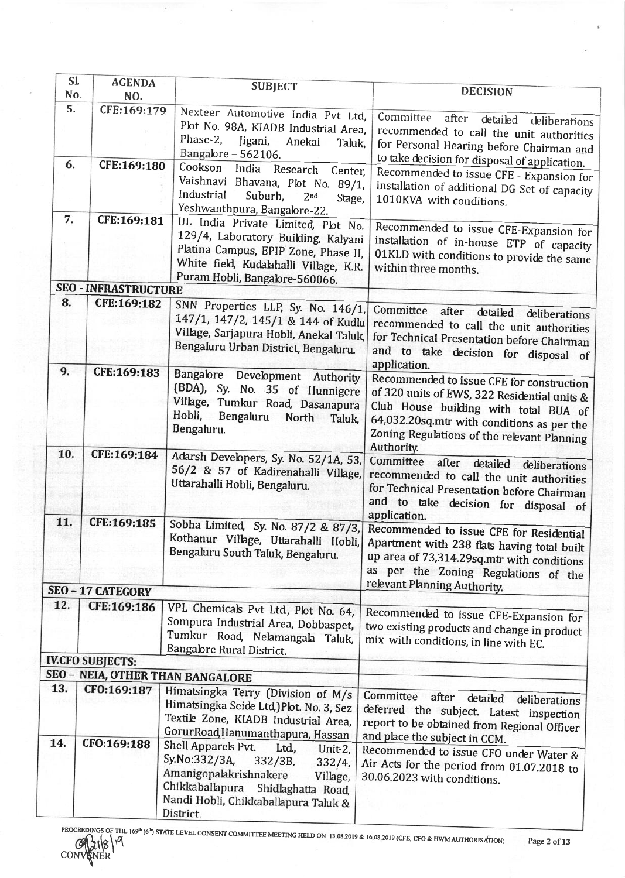| SI. | <b>AGENDA</b>               | <b>SUBJECT</b>                                           |                                                                                  |
|-----|-----------------------------|----------------------------------------------------------|----------------------------------------------------------------------------------|
| No. | NO.                         |                                                          | <b>DECISION</b>                                                                  |
| 5.  | CFE:169:179                 | Nexteer Automotive India Pvt Ltd,                        |                                                                                  |
|     |                             | Plot No. 98A, KIADB Industrial Area,                     | Committee<br>after<br>detailed<br>deliberations                                  |
|     |                             | Phase-2,<br>Jigani,<br>Anekal<br>Taluk,                  | recommended to call the unit authorities                                         |
|     |                             | Bangalore - 562106.                                      | for Personal Hearing before Chairman and                                         |
| 6.  | CFE:169:180                 | Cookson<br>India<br>Research Center,                     | to take decision for disposal of application.                                    |
|     |                             | Vaishnavi Bhavana, Plot No. 89/1,                        | Recommended to issue CFE - Expansion for                                         |
|     |                             | Industrial<br>Suburb,<br>2 <sub>nd</sub>                 | installation of additional DG Set of capacity                                    |
|     |                             | Stage,<br>Yeshwanthpura, Bangalore-22.                   | 1010KVA with conditions.                                                         |
| 7.  | CFE:169:181                 | UL India Private Limited, Plot No.                       |                                                                                  |
|     |                             |                                                          | Recommended to issue CFE-Expansion for                                           |
|     |                             | 129/4, Laboratory Building, Kalyani                      | installation of in-house ETP of capacity                                         |
|     |                             | Platina Campus, EPIP Zone, Phase II,                     | 01KLD with conditions to provide the same                                        |
|     |                             | White field, Kudalahalli Village, K.R.                   | within three months.                                                             |
|     | <b>SEO - INFRASTRUCTURE</b> | Puram Hobli, Bangalore-560066.                           |                                                                                  |
| 8.  | CFE:169:182                 |                                                          |                                                                                  |
|     |                             | SNN Properties LLP, Sy. No. 146/1,                       | Committee after detailed deliberations                                           |
|     |                             | 147/1, 147/2, 145/1 & 144 of Kudlu                       | recommended to call the unit authorities                                         |
|     |                             | Village, Sarjapura Hobli, Anekal Taluk,                  | for Technical Presentation before Chairman                                       |
|     |                             | Bengaluru Urban District, Bengaluru.                     | and to take decision for disposal of                                             |
| 9.  |                             |                                                          | application.                                                                     |
|     | CFE:169:183                 | Bangabre Development Authority                           | Recommended to issue CFE for construction                                        |
|     |                             | (BDA), Sy. No. 35 of Hunnigere                           | of 320 units of EWS, 322 Residential units &                                     |
|     |                             | Village, Tumkur Road, Dasanapura                         | Club House building with total BUA of                                            |
|     |                             | Hobli,<br>Bengaluru<br>North<br>Taluk,                   | 64,032.20sq.mtr with conditions as per the                                       |
|     |                             | Bengaluru.                                               | Zoning Regulations of the relevant Planning                                      |
|     |                             |                                                          | Authority.                                                                       |
| 10. | CFE:169:184                 | Adarsh Developers, Sy. No. 52/1A, 53,                    | Committee<br>after<br>detailed deliberations                                     |
|     |                             | 56/2 & 57 of Kadirenahalli Village,                      | recommended to call the unit authorities                                         |
|     |                             | Uttarahalli Hobli, Bengaluru.                            | for Technical Presentation before Chairman                                       |
|     |                             |                                                          | and to take decision for disposal of                                             |
|     |                             |                                                          | application.                                                                     |
| 11. | CFE:169:185                 | Sobha Limited, Sy. No. 87/2 & 87/3,                      | Recommended to issue CFE for Residential                                         |
|     |                             |                                                          | Kothanur Village, Uttarahalli Hobli, Apartment with 238 flats having total built |
|     |                             | Bengaluru South Taluk, Bengaluru.                        | up area of 73,314.29sq.mtr with conditions                                       |
|     |                             |                                                          | as per the Zoning Regulations of the                                             |
|     |                             |                                                          | relevant Planning Authority.                                                     |
|     | SEO - 17 CATEGORY           |                                                          |                                                                                  |
| 12. | CFE:169:186                 | VPL Chemicals Pvt Ltd, Plot No. 64,                      |                                                                                  |
|     |                             | Sompura Industrial Area, Dobbaspet,                      | Recommended to issue CFE-Expansion for                                           |
|     |                             | Tumkur Road, Nelamangala Taluk,                          | two existing products and change in product                                      |
|     |                             | Bangabre Rural District.                                 | mix with conditions, in line with EC.                                            |
|     | <b>IV.CFO SUBJECTS:</b>     |                                                          |                                                                                  |
|     |                             | SEO - NEIA, OTHER THAN BANGALORE                         |                                                                                  |
| 13. | CFO:169:187                 | Himatsingka Terry (Division of M/s                       |                                                                                  |
|     |                             | Himatsingka Seide Ltd, )Plot. No. 3, Sez                 | Committee after<br>detailed<br>deliberations                                     |
|     |                             | Textile Zone, KIADB Industrial Area,                     | deferred the subject. Latest inspection                                          |
|     |                             |                                                          | report to be obtained from Regional Officer                                      |
| 14. | CFO:169:188                 | Gorur Road Hanumanthapura, Hassan<br>Shell Apparels Pvt. | and place the subject in CCM.                                                    |
|     |                             | Ltd.<br>Unit-2,<br>Sy.No:332/3A,                         | Recommended to issue CFO under Water &                                           |
|     |                             | $332/3B$ ,<br>332/4,                                     | Air Acts for the period from 01.07.2018 to                                       |
|     |                             | Amanigopalakrishnakere<br>Village,                       | 30.06.2023 with conditions.                                                      |
|     |                             | Chikkaballapura<br>Shidlaghatta Road,                    |                                                                                  |
|     |                             | Nandi Hobli, Chikkaballapura Taluk &                     |                                                                                  |
|     |                             | District.                                                |                                                                                  |
|     | PROCEEDINGS OF THE          |                                                          |                                                                                  |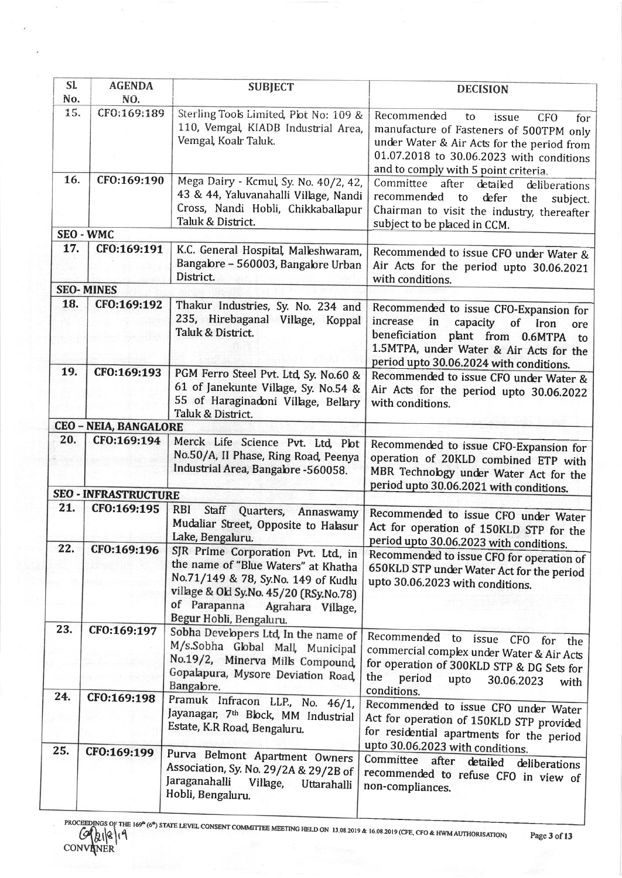| S1<br>Nο. | <b>AGENDA</b><br>NO.         | <b>SUBJECT</b>                                                                                                                                                                                                             | <b>DECISION</b>                                                                                                                                                                                                              |
|-----------|------------------------------|----------------------------------------------------------------------------------------------------------------------------------------------------------------------------------------------------------------------------|------------------------------------------------------------------------------------------------------------------------------------------------------------------------------------------------------------------------------|
| 15.       | CF0:169:189                  | Sterling Tools Limited, Plot No: 109 &<br>110, Vemgal, KIADB Industrial Area,<br>Vemgal, Koalr Taluk.                                                                                                                      | Recommended<br>to<br>issue<br><b>CFO</b><br>for<br>manufacture of Fasteners of 500TPM only<br>under Water & Air Acts for the period from<br>01.07.2018 to 30.06.2023 with conditions<br>and to comply with 5 point criteria. |
| 16.       | CFO:169:190                  | Mega Dairy - Kcmul, Sy. No. 40/2, 42,<br>43 & 44, Yaluvanahalli Village, Nandi<br>Cross, Nandi Hobli, Chikkaballapur<br>Taluk & District.                                                                                  | Committee<br>after<br>detailed<br>deliberations<br>recommended to<br>defer<br>the<br>subject.<br>Chairman to visit the industry, thereafter<br>subject to be placed in CCM.                                                  |
|           | <b>SEO - WMC</b>             |                                                                                                                                                                                                                            |                                                                                                                                                                                                                              |
| 17.       | CFO:169:191                  | K.C. General Hospital, Malleshwaram,<br>Bangalore - 560003, Bangalore Urban<br>District.                                                                                                                                   | Recommended to issue CFO under Water &<br>Air Acts for the period upto 30.06.2021<br>with conditions.                                                                                                                        |
|           | <b>SEO-MINES</b>             |                                                                                                                                                                                                                            |                                                                                                                                                                                                                              |
| 18.       | CFO:169:192                  | Thakur Industries, Sy. No. 234 and<br>235, Hirebaganal Village, Koppal<br>Taluk & District.                                                                                                                                | Recommended to issue CFO-Expansion for<br>increase<br>in<br>capacity of Iron<br>ore<br>beneficiation plant from 0.6MTPA to<br>1.5MTPA, under Water & Air Acts for the<br>period upto 30.06.2024 with conditions.             |
| 19.       | CFO:169:193                  | PGM Ferro Steel Pvt. Ltd, Sy. No.60 &<br>61 of Janekunte Village, Sy. No.54 &<br>55 of Haraginadoni Village, Bellary<br>Taluk & District.                                                                                  | Recommended to issue CFO under Water &<br>Air Acts for the period upto 30.06.2022<br>with conditions.                                                                                                                        |
|           | <b>CEO - NEIA, BANGALORE</b> |                                                                                                                                                                                                                            |                                                                                                                                                                                                                              |
| 20.       | CFO:169:194                  | Merck Life Science Pvt. Ltd, Plot<br>No.50/A, II Phase, Ring Road, Peenya<br>Industrial Area, Bangabre -560058.                                                                                                            | Recommended to issue CFO-Expansion for<br>operation of 20KLD combined ETP with<br>MBR Technology under Water Act for the<br>period upto 30.06.2021 with conditions.                                                          |
|           | <b>SEO - INFRASTRUCTURE</b>  |                                                                                                                                                                                                                            |                                                                                                                                                                                                                              |
| 21.       | CF0:169:195                  | <b>RBI</b><br>Staff<br>Quarters,<br>Annaswamy<br>Mudaliar Street, Opposite to Halasur<br>Lake, Bengaluru.                                                                                                                  | Recommended to issue CFO under Water<br>Act for operation of 150KLD STP for the<br>period upto 30.06.2023 with conditions.                                                                                                   |
| 22.       | CF0:169:196                  | SJR Prime Corporation Pvt. Ltd, in<br>the name of "Blue Waters" at Khatha<br>No.71/149 & 78, Sy.No. 149 of Kudlu<br>village & Old Sy.No. 45/20 (RSy.No.78)<br>of Parapanna<br>Agrahara Village,<br>Begur Hobli, Bengaluru. | Recommended to issue CFO for operation of<br>650KLD STP under Water Act for the period<br>upto 30.06.2023 with conditions.                                                                                                   |
| 23.       | CF0:169:197                  | Sobha Developers Ltd, In the name of<br>M/s.Sobha Global Mall, Municipal<br>No.19/2, Minerva Mills Compound,<br>Gopalapura, Mysore Deviation Road,<br>Bangalore.                                                           | Recommended<br>to<br>issue<br><b>CFO</b><br>for<br>the<br>commercial complex under Water & Air Acts<br>for operation of 300KLD STP & DG Sets for<br>the<br>period<br>upto<br>30.06.2023<br>with<br>conditions.               |
| 24.       | CFO:169:198                  | Pramuk Infracon LLP., No. 46/1,<br>Jayanagar, 7 <sup>th</sup> Block, MM Industrial<br>Estate, K.R Road, Bengaluru.                                                                                                         | Recommended to issue CFO under Water<br>Act for operation of 150KLD STP provided<br>for residential apartments for the period<br>upto 30.06.2023 with conditions.                                                            |
| 25.       | CF0:169:199                  | Purva Belmont Apartment Owners<br>Association, Sy. No. 29/2A & 29/2B of<br>Jaraganahalli<br>Village,<br>Uttarahalli<br>Hobli, Bengaluru.                                                                                   | Committee<br>after<br>detailed<br>deliberations<br>recommended to refuse CFO in view of<br>non-compliances.                                                                                                                  |